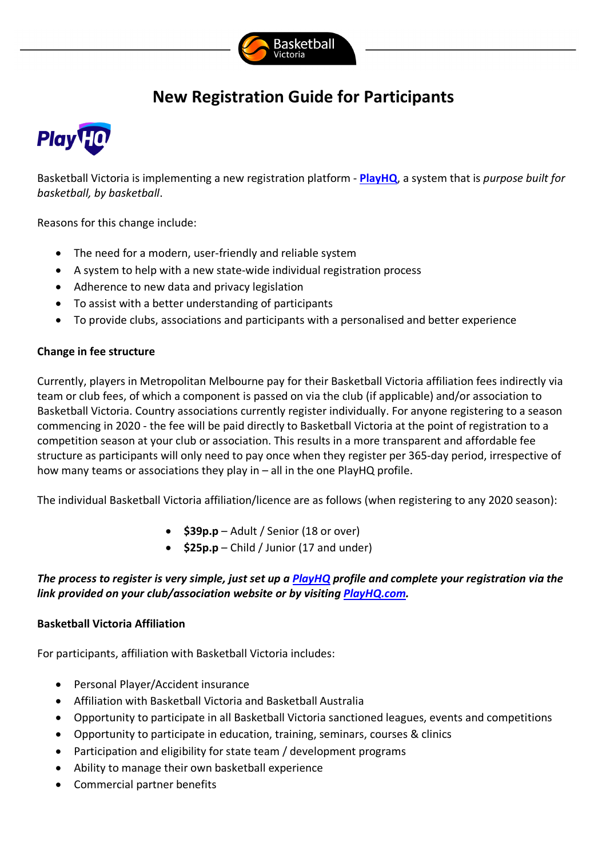

## **New Registration Guide for Participants**



Basketball Victoria is implementing a new registration platform - **PlayHQ**, a system that is *purpose built for basketball, by basketball*.

Reasons for this change include:

- The need for a modern, user-friendly and reliable system
- A system to help with a new state-wide individual registration process
- Adherence to new data and privacy legislation
- To assist with a better understanding of participants
- To provide clubs, associations and participants with a personalised and better experience

## **Change in fee structure**

Currently, players in Metropolitan Melbourne pay for their Basketball Victoria affiliation fees indirectly via team or club fees, of which a component is passed on via the club (if applicable) and/or association to Basketball Victoria. Country associations currently register individually. For anyone registering to a season commencing in 2020 - the fee will be paid directly to Basketball Victoria at the point of registration to a competition season at your club or association. This results in a more transparent and affordable fee structure as participants will only need to pay once when they register per 365-day period, irrespective of how many teams or associations they play in – all in the one PlayHQ profile.

The individual Basketball Victoria affiliation/licence are as follows (when registering to any 2020 season):

- **\$39p.p** Adult / Senior (18 or over)
- **\$25p.p** Child / Junior (17 and under)

## *The process to register is very simple, just set up a PlayHQ profile and complete your registration via the link provided on your club/association website or by visiting PlayHQ.com.*

## **Basketball Victoria Affiliation**

For participants, affiliation with Basketball Victoria includes:

- Personal Player/Accident insurance
- Affiliation with Basketball Victoria and Basketball Australia
- Opportunity to participate in all Basketball Victoria sanctioned leagues, events and competitions
- Opportunity to participate in education, training, seminars, courses & clinics
- Participation and eligibility for state team / development programs
- Ability to manage their own basketball experience
- Commercial partner benefits